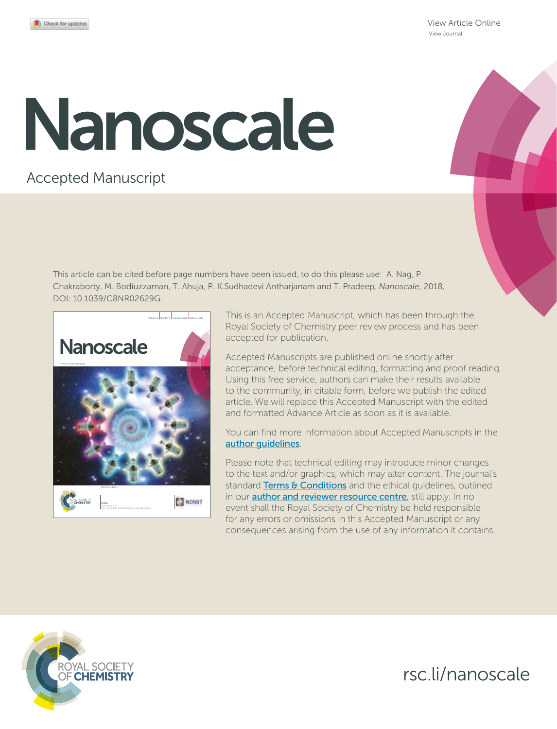View Article Online View Journal

# Nanoscale

## Accepted Manuscript

This article can be cited before page numbers have been issued, to do this please use: A. Nag, P. Chakraborty, M. Bodiuzzaman, T. Ahuja, P. K.Sudhadevi Antharjanam and T. Pradeep*, Nanoscale*, 2018, DOI: 10.1039/C8NR02629G.



This is an Accepted Manuscript, which has been through the Royal Society of Chemistry peer review process and has been accepted for publication.

Accepted Manuscripts are published online shortly after acceptance, before technical editing, formatting and proof reading. Using this free service, authors can make their results available to the community, in citable form, before we publish the edited article. We will replace this Accepted Manuscript with the edited and formatted Advance Article as soon as it is available.

You can find more information about Accepted Manuscripts in the author guidelines.

Please note that technical editing may introduce minor changes to the text and/or graphics, which may alter content. The journal's standard Terms & Conditions and the ethical quidelines, outlined in our **author and reviewer resource centre**, still apply. In no event shall the Royal Society of Chemistry be held responsible for any errors or omissions in this Accepted Manuscript or any consequences arising from the use of any information it contains.



rsc.li/nanoscale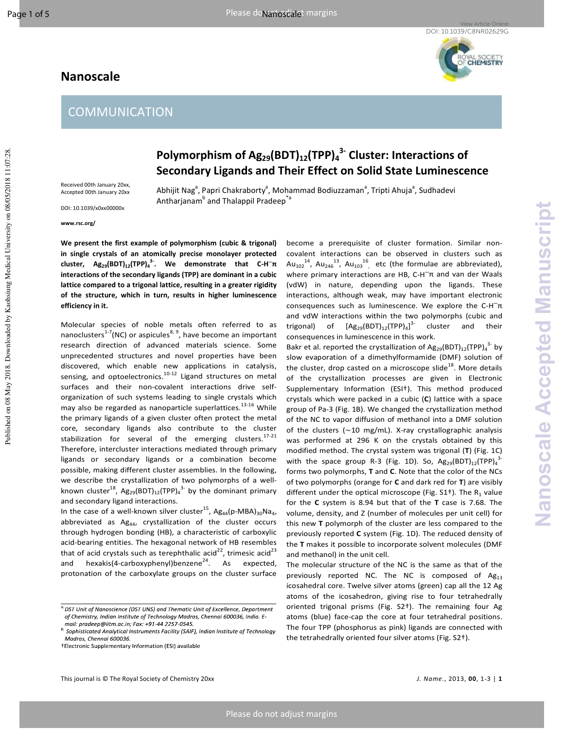# YAL SOCIETY<br>**CHEMISTRY**

# **Nanoscale**

### **COMMUNICATION**



Received 00th January 20xx Accepted 00th January 20xx

#### Abhijit Nag<sup>a</sup>, Papri Chakraborty<sup>a</sup>, Mohammad Bodiuzzaman<sup>a</sup>, Tripti Ahuja<sup>a</sup>, Sudhadevi Antharjanam<sup>b</sup> and Thalappil Pradeep<sup>-a</sup>

Secondary Ligands and Their Effect on Solid State Luminescence

DOI: 10.1039/x0xx00000x

www.rsc.org/

We present the first example of polymorphism (cubic & trigonal) in single crystals of an atomically precise monolayer protected cluster,  $Ag_{29}(BDT)_{12}(TPP)_4^3$ . We demonstrate that C-H" $\pi$ interactions of the secondary ligands (TPP) are dominant in a cubic lattice compared to a trigonal lattice, resulting in a greater rigidity of the structure, which in turn, results in higher luminescence efficiency in it.

Molecular species of noble metals often referred to as nanoclusters<sup>1-7</sup>(NC) or aspicules<sup>8, 9</sup>, have become an important research direction of advanced materials science. Some unprecedented structures and novel properties have been discovered, which enable new applications in catalysis, sensing, and optoelectronics. $10-12$  Ligand structures on metal surfaces and their non-covalent interactions drive selforganization of such systems leading to single crystals which may also be regarded as nanoparticle superlattices.<sup>13-16</sup> While the primary ligands of a given cluster often protect the metal core, secondary ligands also contribute to the cluster stabilization for several of the emerging clusters.<sup>17-21</sup> Therefore, intercluster interactions mediated through primary ligands or secondary ligands or a combination become possible, making different cluster assemblies. In the following, we describe the crystallization of two polymorphs of a wellknown cluster<sup>18</sup>, Ag<sub>29</sub>(BDT)<sub>12</sub>(TPP)<sub>4</sub><sup>3</sup> by the dominant primary and secondary ligand interactions.

In the case of a well-known silver cluster<sup>15</sup>,  $Ag_{44}(p\text{-}MBA)_{30}Na_4$ , abbreviated as Ag<sub>44</sub>, crystallization of the cluster occurs through hydrogen bonding (HB), a characteristic of carboxylic acid-bearing entities. The hexagonal network of HB resembles that of acid crystals such as terephthalic acid<sup>22</sup>, trimesic acid<sup>23</sup> hexakis(4-carboxyphenyl)benzene<sup>24</sup>. As expected, protonation of the carboxylate groups on the cluster surface

This journal is © The Royal Society of Chemistry 20xx

become a prerequisite of cluster formation. Similar noncovalent interactions can be observed in clusters such as  $Au_{102}^{14}$ ,  $Au_{246}^{13}$ ,  $Au_{103}^{16}$  etc (the formulae are abbreviated), where primary interactions are HB, C-H"π and van der Waals (vdW) in nature, depending upon the ligands. These interactions, although weak, may have important electronic consequences such as luminescence. We explore the C-H" $\pi$ and vdW interactions within the two polymorphs (cubic and of  $[Ag_{29}(BDT)_{12}(TPP)_4]^{3}$ cluster and trigonal) their consequences in luminescence in this work.

Bakr et al. reported the crystallization of  $Ag_{29}(BDT)_{12}(TPP)_{4}^{3}$  by slow evaporation of a dimethylformamide (DMF) solution of the cluster, drop casted on a microscope slide<sup>18</sup>. More details of the crystallization processes are given in Electronic Supplementary Information (ESI<sup>+</sup>). This method produced crystals which were packed in a cubic  $(C)$  lattice with a space group of Pa-3 (Fig. 1B). We changed the crystallization method of the NC to vapor diffusion of methanol into a DMF solution of the clusters ( $\sim$ 10 mg/mL). X-ray crystallographic analysis was performed at 296 K on the crystals obtained by this modified method. The crystal system was trigonal (T) (Fig. 1C) with the space group R-3 (Fig. 1D). So,  $Ag_{29}(BDT)_{12}(TPP)_4$ forms two polymorphs, T and C. Note that the color of the NCs of two polymorphs (orange for C and dark red for T) are visibly different under the optical microscope (Fig.  $S1<sup>+</sup>$ ). The R<sub>1</sub> value for the  $C$  system is 8.94 but that of the  $T$  case is 7.68. The volume, density, and Z (number of molecules per unit cell) for this new T polymorph of the cluster are less compared to the previously reported C system (Fig. 1D). The reduced density of the T makes it possible to incorporate solvent molecules (DMF and methanol) in the unit cell.

The molecular structure of the NC is the same as that of the previously reported NC. The NC is composed of Ag<sub>13</sub> icosahedral core. Twelve silver atoms (green) cap all the 12 Ag atoms of the icosahedron, giving rise to four tetrahedrally oriented trigonal prisms (Fig. S2<sup>+</sup>). The remaining four Ag atoms (blue) face-cap the core at four tetrahedral positions. The four TPP (phosphorus as pink) ligands are connected with the tetrahedrally oriented four silver atoms (Fig. S2+).

<sup>&</sup>lt;sup>a.</sup> DST Unit of Nanoscience (DST UNS) and Thematic Unit of Excellence, Department of Chemistry, Indian Institute of Technology Madras, Chennai 600036, India. Email: pradeep@iitm.ac.in; Fax: +91-44 2257-0545.

<sup>&</sup>lt;sup>b.</sup> Sophisticated Analytical Instruments Facility (SAIF), Indian Institute of Technology Madras, Chennai 600036.

**Electronic Supplementary Information (ESI) available**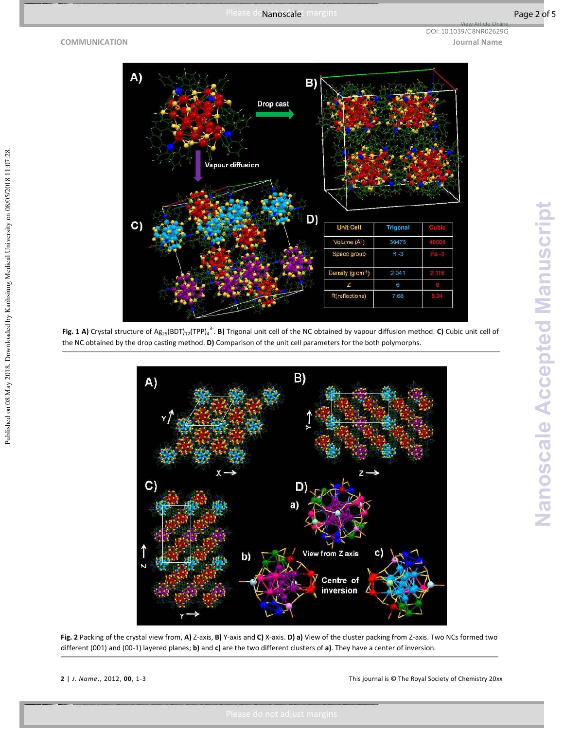**Name** DOI: 10.1039/C8NR02629G

View Article Online



**Fig. 1 A)** Crystal structure of Ag<sub>29</sub>(BDT)<sub>12</sub>(TPP)<sub>4</sub><sup>3</sup>. **B)** Trigonal unit cell of the NC obtained by vapour diffusion method. C) Cubic unit cell of the NC obtained by the drop casting method. D) Comparison of the unit cell parameters for the both polymorphs.



Fig. 2 Packing of the crystal view from, A) Z-axis, B) Y-axis and C) X-axis. D) a) View of the cluster packing from Z-axis. Two NCs formed two different (001) and (00-1) layered planes; **b)** and c) are the two different clusters of a). They have a center of inversion.

2 | J. Name., 2012, 00  $\,$ , 1-3 Th

is journal is © The Royal Society of Chemistry 20xx

Published on 08 May 2018. Downloaded by Kaohsiung Medical University on 08/05/2018 11:07:28. Published on 08 May 2018. Downloaded by Kaohsiung Medical University on 08/05/2018 11:07:28.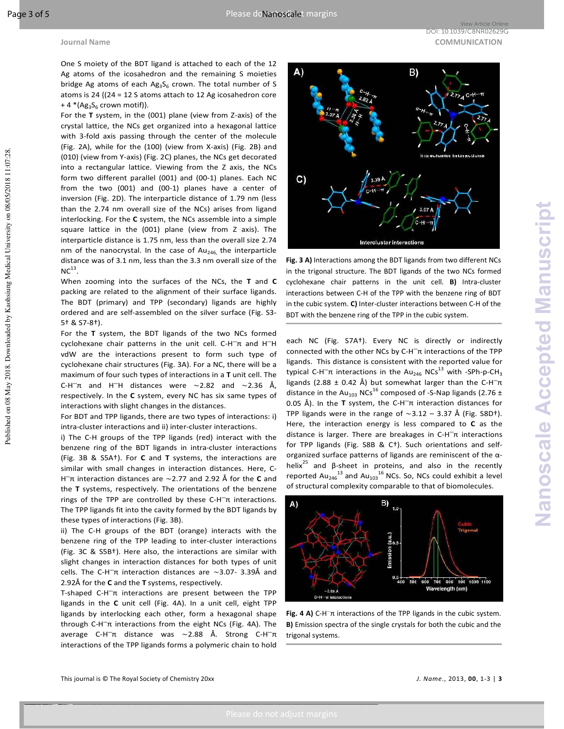Published on 08 May 2018. Downloaded by Kaohsiung Medical University on 08/05/2018 11:07:28

One S moiety of the BDT ligand is attached to each of the 12 Ag atoms of the icosahedron and the remaining S moieties bridge Ag atoms of each  $Ag_3S_6$  crown. The total number of S atoms is 24  $\{(24 = 12 \text{ S atoms attach to 12 Ag icosahedron core})\}$ + 4 \*  $(Ag_3S_6$  crown motif) }.

For the T system, in the (001) plane (view from Z-axis) of the crystal lattice, the NCs get organized into a hexagonal lattice with 3-fold axis passing through the center of the molecule (Fig. 2A), while for the (100) (view from X-axis) (Fig. 2B) and (010) (view from Y-axis) (Fig. 2C) planes, the NCs get decorated into a rectangular lattice. Viewing from the Z axis, the NCs form two different parallel (001) and (00-1) planes. Each NC from the two (001) and (00-1) planes have a center of inversion (Fig. 2D). The interparticle distance of 1.79 nm (less than the 2.74 nm overall size of the NCs) arises from ligand interlocking. For the C system, the NCs assemble into a simple square lattice in the (001) plane (view from Z axis). The interparticle distance is 1.75 nm, less than the overall size 2.74 nm of the nanocrystal. In the case of  $Au_{246}$  the interparticle distance was of 3.1 nm, less than the 3.3 nm overall size of the  $NC^{13}$ .

When zooming into the surfaces of the NCs, the T and C packing are related to the alignment of their surface ligands. The BDT (primary) and TPP (secondary) ligands are highly ordered and are self-assembled on the silver surface (Fig. S3-5+ & S7-8+).

For the T system, the BDT ligands of the two NCs formed cyclohexane chair patterns in the unit cell. C-H"π and H"H vdW are the interactions present to form such type of cyclohexane chair structures (Fig. 3A). For a NC, there will be a maximum of four such types of interactions in a T unit cell. The C-H  $\pi$  and H H distances were  $\sim$  2.82 and  $\sim$  2.36 Å, respectively. In the C system, every NC has six same types of interactions with slight changes in the distances.

For BDT and TPP ligands, there are two types of interactions: i) intra-cluster interactions and ii) inter-cluster interactions.

i) The C-H groups of the TPP ligands (red) interact with the benzene ring of the BDT ligands in intra-cluster interactions (Fig. 3B & S5A<sup>†</sup>). For **C** and **T** systems, the interactions are similar with small changes in interaction distances. Here, C-H" $\pi$  interaction distances are  $\sim$ 2.77 and 2.92 Å for the C and the T systems, respectively. The orientations of the benzene rings of the TPP are controlled by these  $C-H^{\cdots} \pi$  interactions. The TPP ligands fit into the cavity formed by the BDT ligands by these types of interactions (Fig. 3B).

ii) The C-H groups of the BDT (orange) interacts with the benzene ring of the TPP leading to inter-cluster interactions (Fig. 3C & S5B+). Here also, the interactions are similar with slight changes in interaction distances for both types of unit cells. The C-H" $\pi$  interaction distances are  $\sim$ 3.07- 3.39Å and 2.92Å for the C and the T systems, respectively.

T-shaped C-H" $\pi$  interactions are present between the TPP ligands in the C unit cell (Fig. 4A). In a unit cell, eight TPP ligands by interlocking each other, form a hexagonal shape through C-H"π interactions from the eight NCs (Fig. 4A). The average C-H" $\pi$  distance was  $\sim$ 2.88 Å. Strong C-H" $\pi$ interactions of the TPP ligands forms a polymeric chain to hold



DOI: 10.1039/C8NR02629G **COMMUNICATION** 

Fig. 3 A) Interactions among the BDT ligands from two different NCs in the trigonal structure. The BDT ligands of the two NCs formed cyclohexane chair patterns in the unit cell. **B**) Intra-cluster interactions between C-H of the TPP with the benzene ring of BDT in the cubic system. C) Inter-cluster interactions between C-H of the BDT with the benzene ring of the TPP in the cubic system.

each NC (Fig. S7A+). Every NC is directly or indirectly connected with the other NCs by C-H $\pi$  interactions of the TPP ligands. This distance is consistent with the reported value for typical C-H" $\pi$  interactions in the Au<sub>246</sub> NCs<sup>13</sup> with -SPh-p-CH<sub>3</sub> ligands (2.88  $\pm$  0.42 Å) but somewhat larger than the C-H" $\pi$ distance in the Au<sub>103</sub> NCs<sup>16</sup> composed of -S-Nap ligands (2.76 ± 0.05 Å). In the T system, the C-H  $\pi$  interaction distances for TPP ligands were in the range of  $\sim$ 3.12 - 3.37 Å (Fig. S8D<sup>+</sup>). Here, the interaction energy is less compared to  $C$  as the distance is larger. There are breakages in  $C$ -H" $\pi$  interactions for TPP ligands (Fig. S8B & C<sup>+</sup>). Such orientations and selforganized surface patterns of ligands are reminiscent of the  $\alpha$ helix<sup>25</sup> and  $\beta$ -sheet in proteins, and also in the recently reported  $Au_{246}^{13}$  and  $Au_{103}^{16}$  NCs. So, NCs could exhibit a level of structural complexity comparable to that of biomolecules.



Fig. 4 A) C-H $\pi$  interactions of the TPP ligands in the cubic system. B) Emission spectra of the single crystals for both the cubic and the trigonal systems.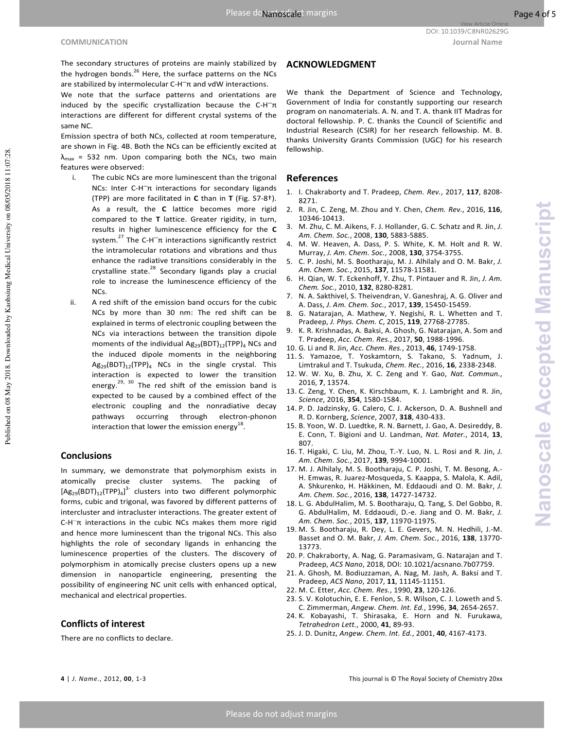Nanoscale Accepted Manuscript

#### COMMUNICATION

The secondary structures of proteins are mainly stabilized by the hydrogen bonds.<sup>26</sup> Here, the surface patterns on the NCs are stabilized by intermolecular C-H"π and vdW interactions.

We note that the surface patterns and orientations are induced by the specific crystallization because the C-H $\pi$ interactions are different for different crystal systems of the same NC.

Emission spectra of both NCs, collected at room temperature, are shown in Fig. 4B. Both the NCs can be efficiently excited at  $\lambda_{\text{max}}$  = 532 nm. Upon comparing both the NCs, two main features were observed:

- $\mathbf{i}$ . The cubic NCs are more luminescent than the trigonal NCs: Inter C-H"π interactions for secondary ligands (TPP) are more facilitated in C than in T (Fig. S7-8+). As a result, the C lattice becomes more rigid compared to the T lattice. Greater rigidity, in turn, results in higher luminescence efficiency for the C system.<sup>27</sup> The C-H  $\pi$  interactions significantly restrict the intramolecular rotations and vibrations and thus enhance the radiative transitions considerably in the crvstalline state.<sup>28</sup> Secondary ligands play a crucial role to increase the luminescence efficiency of the NCs.
- ii. A red shift of the emission band occurs for the cubic NCs by more than 30 nm: The red shift can be explained in terms of electronic coupling between the NCs via interactions between the transition dipole moments of the individual Ag<sub>29</sub>(BDT)<sub>12</sub>(TPP)<sub>4</sub> NCs and the induced dipole moments in the neighboring  $Ag_{29}(BDT)_{12}(TPP)_4$  NCs in the single crystal. This interaction is expected to lower the transition energy.<sup>29, 30</sup> The red shift of the emission band is expected to be caused by a combined effect of the electronic coupling and the nonradiative decay pathways occurring through electron-phonon interaction that lower the emission energy<sup>18</sup>.

#### **Conclusions**

In summary, we demonstrate that polymorphism exists in atomically precise cluster systems. The packing of  $[Ag_{29}(BDT)_{12}(TPP)_4]^{3}$  clusters into two different polymorphic forms, cubic and trigonal, was favored by different patterns of intercluster and intracluster interactions. The greater extent of  $C$ -H" $\pi$  interactions in the cubic NCs makes them more rigid and hence more luminescent than the trigonal NCs. This also highlights the role of secondary ligands in enhancing the luminescence properties of the clusters. The discovery of polymorphism in atomically precise clusters opens up a new dimension in nanoparticle engineering, presenting the possibility of engineering NC unit cells with enhanced optical, mechanical and electrical properties.

#### **Conflicts of interest**

There are no conflicts to declare.

#### **ACKNOWLEDGMENT**

We thank the Department of Science and Technology, Government of India for constantly supporting our research program on nanomaterials. A. N. and T. A. thank IIT Madras for doctoral fellowship. P. C. thanks the Council of Scientific and Industrial Research (CSIR) for her research fellowship. M. B. thanks University Grants Commission (UGC) for his research fellowship.

#### **References**

- 1. I. Chakraborty and T. Pradeep, Chem. Rev., 2017, 117, 8208-8271.
- 2. R. Jin, C. Zeng, M. Zhou and Y. Chen, Chem. Rev., 2016, 116, 10346-10413.
- 3. M. Zhu, C. M. Aikens, F. J. Hollander, G. C. Schatz and R. Jin, J. Am. Chem. Soc., 2008, 130, 5883-5885.
- $\mathbf{A}$ M. W. Heaven, A. Dass, P. S. White, K. M. Holt and R. W. Murray, J. Am. Chem. Soc., 2008, 130, 3754-3755.
- 5. C. P. Joshi, M. S. Bootharaju, M. J. Alhilaly and O. M. Bakr, J. Am. Chem. Soc., 2015, 137, 11578-11581.
- 6. H. Qian, W. T. Eckenhoff, Y. Zhu, T. Pintauer and R. Jin, J. Am. Chem. Soc., 2010, 132, 8280-8281.
- 7. N. A. Sakthivel, S. Theivendran, V. Ganeshraj, A. G. Oliver and A. Dass, J. Am. Chem. Soc., 2017, 139, 15450-15459.
- G. Natarajan, A. Mathew, Y. Negishi, R. L. Whetten and T. 8. Pradeep, J. Phys. Chem. C, 2015, 119, 27768-27785.
- K. R. Krishnadas, A. Baksi, A. Ghosh, G. Natarajan, A. Som and 9. T. Pradeep, Acc. Chem. Res., 2017, 50, 1988-1996.
- 10. G. Li and R. Jin, Acc. Chem. Res., 2013, 46, 1749-1758.
- 11. S. Yamazoe, T. Yoskamtorn, S. Takano, S. Yadnum, J. Limtrakul and T. Tsukuda, Chem. Rec., 2016, 16, 2338-2348.
- 12. W. W. Xu, B. Zhu, X. C. Zeng and Y. Gao, Nat. Commun., 2016. 7. 13574.
- 13. C. Zeng, Y. Chen, K. Kirschbaum, K. J. Lambright and R. Jin, Science, 2016, 354, 1580-1584.
- 14. P. D. Jadzinsky, G. Calero, C. J. Ackerson, D. A. Bushnell and R. D. Kornberg, Science, 2007, 318, 430-433.
- 15. B. Yoon, W. D. Luedtke, R. N. Barnett, J. Gao, A. Desireddy, B. E. Conn, T. Bigioni and U. Landman, Nat. Mater., 2014, 13, 807.
- 16. T. Higaki, C. Liu, M. Zhou, T.-Y. Luo, N. L. Rosi and R. Jin, J. Am. Chem. Soc., 2017, 139, 9994-10001.
- 17. M. J. Alhilaly, M. S. Bootharaju, C. P. Joshi, T. M. Besong, A.-H. Emwas, R. Juarez-Mosqueda, S. Kaappa, S. Malola, K. Adil, A. Shkurenko, H. Häkkinen, M. Eddaoudi and O. M. Bakr, J. Am. Chem. Soc., 2016, 138, 14727-14732.
- 18. L. G. AbdulHalim, M. S. Bootharaju, Q. Tang, S. Del Gobbo, R. G. AbdulHalim, M. Eddaoudi, D.-e. Jiang and O. M. Bakr, J. Am. Chem. Soc., 2015, 137, 11970-11975.
- 19. M. S. Bootharaju, R. Dey, L. E. Gevers, M. N. Hedhili, J.-M. Basset and O. M. Bakr, J. Am. Chem. Soc., 2016, 138, 13770-13773.
- 20. P. Chakraborty, A. Nag, G. Paramasivam, G. Natarajan and T. Pradeep, ACS Nano, 2018, DOI: 10.1021/acsnano.7b07759.
- 21. A. Ghosh, M. Bodiuzzaman, A. Nag, M. Jash, A. Baksi and T. Pradeep, ACS Nano, 2017, 11, 11145-11151.
- 22. M. C. Etter, Acc. Chem. Res., 1990, 23, 120-126.
- 23. S. V. Kolotuchin, E. E. Fenlon, S. R. Wilson, C. J. Loweth and S.
- C. Zimmerman, Angew. Chem. Int. Ed., 1996, 34, 2654-2657. 24. K. Kobayashi, T. Shirasaka, E. Horn and N. Furukawa, Tetrahedron Lett., 2000, 41, 89-93.
- 25. J. D. Dunitz, Angew. Chem. Int. Ed., 2001, 40, 4167-4173.